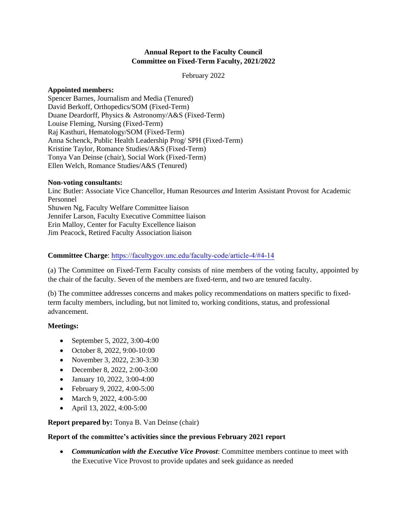### **Annual Report to the Faculty Council Committee on Fixed-Term Faculty, 2021/2022**

February 2022

### **Appointed members:**

Spencer Barnes, Journalism and Media (Tenured) David Berkoff, Orthopedics/SOM (Fixed-Term) Duane Deardorff, Physics & Astronomy/A&S (Fixed-Term) Louise Fleming, Nursing (Fixed-Term) Raj Kasthuri, Hematology/SOM (Fixed-Term) Anna Schenck, Public Health Leadership Prog/ SPH (Fixed-Term) Kristine Taylor, Romance Studies/A&S (Fixed-Term) Tonya Van Deinse (chair), Social Work (Fixed-Term) Ellen Welch, Romance Studies/A&S (Tenured)

### **Non-voting consultants:**

Linc Butler: Associate Vice Chancellor, Human Resources *and* Interim Assistant Provost for Academic Personnel Shuwen Ng, Faculty Welfare Committee liaison Jennifer Larson, Faculty Executive Committee liaison Erin Malloy, Center for Faculty Excellence liaison Jim Peacock, Retired Faculty Association liaison

# **Committee Charge**: [https://facultygov.unc.edu/faculty-code/article-4/#4-14](https://facultygov.unc.edu/faculty-code/article-4/#4-13)

(a) The Committee on Fixed-Term Faculty consists of nine members of the voting faculty, appointed by the chair of the faculty. Seven of the members are fixed-term, and two are tenured faculty.

(b) The committee addresses concerns and makes policy recommendations on matters specific to fixedterm faculty members, including, but not limited to, working conditions, status, and professional advancement.

## **Meetings:**

- September 5, 2022, 3:00-4:00
- October 8, 2022, 9:00-10:00
- November 3, 2022, 2:30-3:30
- December 8, 2022, 2:00-3:00
- January 10, 2022, 3:00-4:00
- February 9, 2022, 4:00-5:00
- March 9, 2022, 4:00-5:00
- April 13, 2022, 4:00-5:00

**Report prepared by:** Tonya B. Van Deinse (chair)

### **Report of the committee's activities since the previous February 2021 report**

• *Communication with the Executive Vice Provost*: Committee members continue to meet with the Executive Vice Provost to provide updates and seek guidance as needed